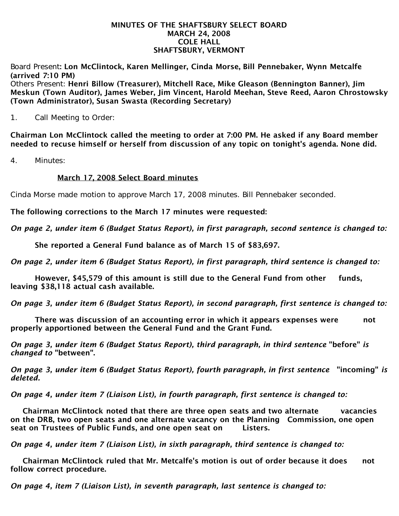#### MINUTES OF THE SHAFTSBURY SELECT BOARD MARCH 24, 2008 COLE HALL SHAFTSBURY, VERMONT

Board Present: Lon McClintock, Karen Mellinger, Cinda Morse, Bill Pennebaker, Wynn Metcalfe (arrived 7:10 PM)

Others Present: Henri Billow (Treasurer), Mitchell Race, Mike Gleason (Bennington Banner), Jim Meskun (Town Auditor), James Weber, Jim Vincent, Harold Meehan, Steve Reed, Aaron Chrostowsky (Town Administrator), Susan Swasta (Recording Secretary)

1. Call Meeting to Order:

Chairman Lon McClintock called the meeting to order at 7:00 PM. He asked if any Board member needed to recuse himself or herself from discussion of any topic on tonight's agenda. None did.

4. Minutes:

# March 17, 2008 Select Board minutes

Cinda Morse made motion to approve March 17, 2008 minutes. Bill Pennebaker seconded.

The following corrections to the March 17 minutes were requested:

*On page 2, under item 6 (Budget Status Report), in first paragraph, second sentence is changed to:*

She reported a General Fund balance as of March 15 of \$83,697.

*On page 2, under item 6 (Budget Status Report), in first paragraph, third sentence is changed to:*

 However, \$45,579 of this amount is still due to the General Fund from other funds, leaving \$38,118 actual cash available.

*On page 3, under item 6 (Budget Status Report), in second paragraph, first sentence is changed to:*

 There was discussion of an accounting error in which it appears expenses were not properly apportioned between the General Fund and the Grant Fund.

*On page 3, under item 6 (Budget Status Report), third paragraph, in third sentence* "before" *is changed to* "between".

*On page 3, under item 6 (Budget Status Report), fourth paragraph, in first sentence* "incoming" *is deleted.*

*On page 4, under item 7 (Liaison List), in fourth paragraph, first sentence is changed to:*

 Chairman McClintock noted that there are three open seats and two alternate vacancies on the DRB, two open seats and one alternate vacancy on the Planning Commission, one open seat on Trustees of Public Funds, and one open seat on Listers.

*On page 4, under item 7 (Liaison List), in sixth paragraph, third sentence is changed to:*

 Chairman McClintock ruled that Mr. Metcalfe's motion is out of order because it does not follow correct procedure.

*On page 4, item 7 (Liaison List), in seventh paragraph, last sentence is changed to:*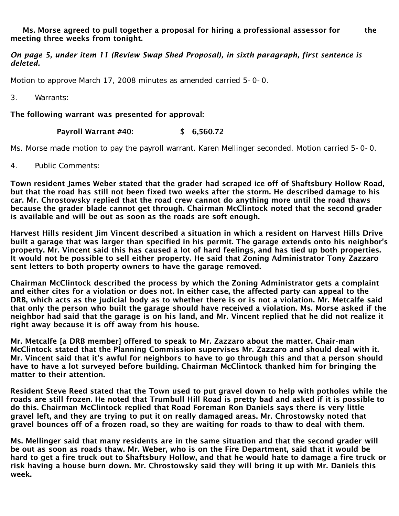Ms. Morse agreed to pull together a proposal for hiring a professional assessor for the meeting three weeks from tonight.

## *On page 5, under item 11 (Review Swap Shed Proposal), in sixth paragraph, first sentence is deleted.*

Motion to approve March 17, 2008 minutes as amended carried 5-0-0.

3. Warrants:

The following warrant was presented for approval:

## Payroll Warrant #40: \$ 6,560.72

Ms. Morse made motion to pay the payroll warrant. Karen Mellinger seconded. Motion carried 5-0-0.

4. Public Comments:

Town resident James Weber stated that the grader had scraped ice off of Shaftsbury Hollow Road, but that the road has still not been fixed two weeks after the storm. He described damage to his car. Mr. Chrostowsky replied that the road crew cannot do anything more until the road thaws because the grader blade cannot get through. Chairman McClintock noted that the second grader is available and will be out as soon as the roads are soft enough.

Harvest Hills resident Jim Vincent described a situation in which a resident on Harvest Hills Drive built a garage that was larger than specified in his permit. The garage extends onto his neighbor's property. Mr. Vincent said this has caused a lot of hard feelings, and has tied up both properties. It would not be possible to sell either property. He said that Zoning Administrator Tony Zazzaro sent letters to both property owners to have the garage removed.

Chairman McClintock described the process by which the Zoning Administrator gets a complaint and either cites for a violation or does not. In either case, the affected party can appeal to the DRB, which acts as the judicial body as to whether there is or is not a violation. Mr. Metcalfe said that only the person who built the garage should have received a violation. Ms. Morse asked if the neighbor had said that the garage is on his land, and Mr. Vincent replied that he did not realize it right away because it is off away from his house.

Mr. Metcalfe [a DRB member] offered to speak to Mr. Zazzaro about the matter. Chair-man McClintock stated that the Planning Commission supervises Mr. Zazzaro and should deal with it. Mr. Vincent said that it's awful for neighbors to have to go through this and that a person should have to have a lot surveyed before building. Chairman McClintock thanked him for bringing the matter to their attention.

Resident Steve Reed stated that the Town used to put gravel down to help with potholes while the roads are still frozen. He noted that Trumbull Hill Road is pretty bad and asked if it is possible to do this. Chairman McClintock replied that Road Foreman Ron Daniels says there is very little gravel left, and they are trying to put it on really damaged areas. Mr. Chrostowsky noted that gravel bounces off of a frozen road, so they are waiting for roads to thaw to deal with them.

Ms. Mellinger said that many residents are in the same situation and that the second grader will be out as soon as roads thaw. Mr. Weber, who is on the Fire Department, said that it would be hard to get a fire truck out to Shaftsbury Hollow, and that he would hate to damage a fire truck or risk having a house burn down. Mr. Chrostowsky said they will bring it up with Mr. Daniels this week.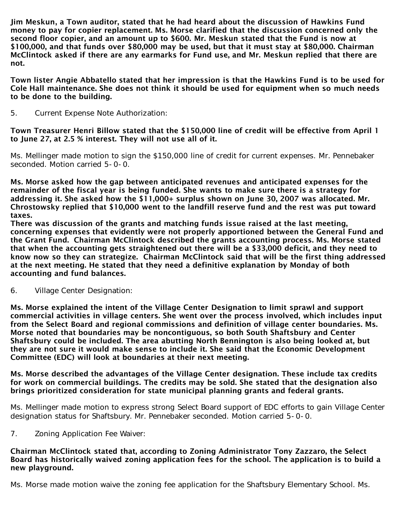Jim Meskun, a Town auditor, stated that he had heard about the discussion of Hawkins Fund money to pay for copier replacement. Ms. Morse clarified that the discussion concerned only the second floor copier, and an amount up to \$600. Mr. Meskun stated that the Fund is now at \$100,000, and that funds over \$80,000 may be used, but that it must stay at \$80,000. Chairman McClintock asked if there are any earmarks for Fund use, and Mr. Meskun replied that there are not.

Town lister Angie Abbatello stated that her impression is that the Hawkins Fund is to be used for Cole Hall maintenance. She does not think it should be used for equipment when so much needs to be done to the building.

5. Current Expense Note Authorization:

Town Treasurer Henri Billow stated that the \$150,000 line of credit will be effective from April 1 to June 27, at 2.5 % interest. They will not use all of it.

Ms. Mellinger made motion to sign the \$150,000 line of credit for current expenses. Mr. Pennebaker seconded. Motion carried 5-0-0.

Ms. Morse asked how the gap between anticipated revenues and anticipated expenses for the remainder of the fiscal year is being funded. She wants to make sure there is a strategy for addressing it. She asked how the \$11,000+ surplus shown on June 30, 2007 was allocated. Mr. Chrostowsky replied that \$10,000 went to the landfill reserve fund and the rest was put toward taxes.

There was discussion of the grants and matching funds issue raised at the last meeting, concerning expenses that evidently were not properly apportioned between the General Fund and the Grant Fund. Chairman McClintock described the grants accounting process. Ms. Morse stated that when the accounting gets straightened out there will be a \$33,000 deficit, and they need to know now so they can strategize. Chairman McClintock said that will be the first thing addressed at the next meeting. He stated that they need a definitive explanation by Monday of both accounting and fund balances.

6. Village Center Designation:

Ms. Morse explained the intent of the Village Center Designation to limit sprawl and support commercial activities in village centers. She went over the process involved, which includes input from the Select Board and regional commissions and definition of village center boundaries. Ms. Morse noted that boundaries may be noncontiguous, so both South Shaftsbury and Center Shaftsbury could be included. The area abutting North Bennington is also being looked at, but they are not sure it would make sense to include it. She said that the Economic Development Committee (EDC) will look at boundaries at their next meeting.

Ms. Morse described the advantages of the Village Center designation. These include tax credits for work on commercial buildings. The credits may be sold. She stated that the designation also brings prioritized consideration for state municipal planning grants and federal grants.

Ms. Mellinger made motion to express strong Select Board support of EDC efforts to gain Village Center designation status for Shaftsbury. Mr. Pennebaker seconded. Motion carried 5-0-0.

7. Zoning Application Fee Waiver:

Chairman McClintock stated that, according to Zoning Administrator Tony Zazzaro, the Select Board has historically waived zoning application fees for the school. The application is to build a new playground.

Ms. Morse made motion waive the zoning fee application for the Shaftsbury Elementary School. Ms.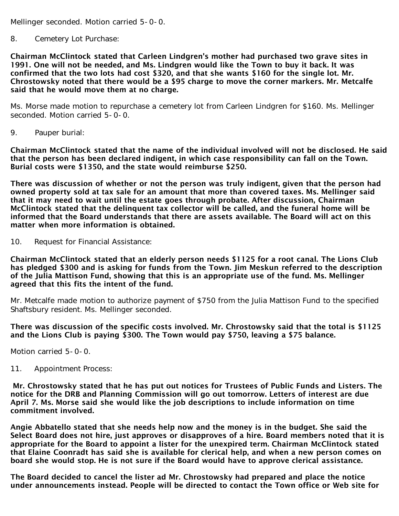Mellinger seconded. Motion carried 5-0-0.

## 8. Cemetery Lot Purchase:

Chairman McClintock stated that Carleen Lindgren's mother had purchased two grave sites in 1991. One will not be needed, and Ms. Lindgren would like the Town to buy it back. It was confirmed that the two lots had cost \$320, and that she wants \$160 for the single lot. Mr. Chrostowsky noted that there would be a \$95 charge to move the corner markers. Mr. Metcalfe said that he would move them at no charge.

Ms. Morse made motion to repurchase a cemetery lot from Carleen Lindgren for \$160. Ms. Mellinger seconded. Motion carried 5-0-0.

9. Pauper burial:

Chairman McClintock stated that the name of the individual involved will not be disclosed. He said that the person has been declared indigent, in which case responsibility can fall on the Town. Burial costs were \$1350, and the state would reimburse \$250.

There was discussion of whether or not the person was truly indigent, given that the person had owned property sold at tax sale for an amount that more than covered taxes. Ms. Mellinger said that it may need to wait until the estate goes through probate. After discussion, Chairman McClintock stated that the delinquent tax collector will be called, and the funeral home will be informed that the Board understands that there are assets available. The Board will act on this matter when more information is obtained.

10. Request for Financial Assistance:

Chairman McClintock stated that an elderly person needs \$1125 for a root canal. The Lions Club has pledged \$300 and is asking for funds from the Town. Jim Meskun referred to the description of the Julia Mattison Fund, showing that this is an appropriate use of the fund. Ms. Mellinger agreed that this fits the intent of the fund.

Mr. Metcalfe made motion to authorize payment of \$750 from the Julia Mattison Fund to the specified Shaftsbury resident. Ms. Mellinger seconded.

There was discussion of the specific costs involved. Mr. Chrostowsky said that the total is \$1125 and the Lions Club is paying \$300. The Town would pay \$750, leaving a \$75 balance.

Motion carried 5-0-0.

11. Appointment Process:

Mr. Chrostowsky stated that he has put out notices for Trustees of Public Funds and Listers. The notice for the DRB and Planning Commission will go out tomorrow. Letters of interest are due April 7. Ms. Morse said she would like the job descriptions to include information on time commitment involved.

Angie Abbatello stated that she needs help now and the money is in the budget. She said the Select Board does not hire, just approves or disapproves of a hire. Board members noted that it is appropriate for the Board to appoint a lister for the unexpired term. Chairman McClintock stated that Elaine Coonradt has said she is available for clerical help, and when a new person comes on board she would stop. He is not sure if the Board would have to approve clerical assistance.

The Board decided to cancel the lister ad Mr. Chrostowsky had prepared and place the notice under announcements instead. People will be directed to contact the Town office or Web site for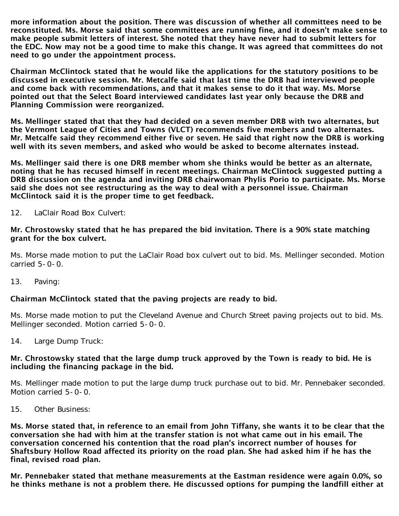more information about the position. There was discussion of whether all committees need to be reconstituted. Ms. Morse said that some committees are running fine, and it doesn't make sense to make people submit letters of interest. She noted that they have never had to submit letters for the EDC. Now may not be a good time to make this change. It was agreed that committees do not need to go under the appointment process.

Chairman McClintock stated that he would like the applications for the statutory positions to be discussed in executive session. Mr. Metcalfe said that last time the DRB had interviewed people and come back with recommendations, and that it makes sense to do it that way. Ms. Morse pointed out that the Select Board interviewed candidates last year only because the DRB and Planning Commission were reorganized.

Ms. Mellinger stated that that they had decided on a seven member DRB with two alternates, but the Vermont League of Cities and Towns (VLCT) recommends five members and two alternates. Mr. Metcalfe said they recommend either five or seven. He said that right now the DRB is working well with its seven members, and asked who would be asked to become alternates instead.

Ms. Mellinger said there is one DRB member whom she thinks would be better as an alternate, noting that he has recused himself in recent meetings. Chairman McClintock suggested putting a DRB discussion on the agenda and inviting DRB chairwoman Phylis Porio to participate. Ms. Morse said she does not see restructuring as the way to deal with a personnel issue. Chairman McClintock said it is the proper time to get feedback.

## 12. LaClair Road Box Culvert:

#### Mr. Chrostowsky stated that he has prepared the bid invitation. There is a 90% state matching grant for the box culvert.

Ms. Morse made motion to put the LaClair Road box culvert out to bid. Ms. Mellinger seconded. Motion carried 5-0-0.

13. Paving:

# Chairman McClintock stated that the paving projects are ready to bid.

Ms. Morse made motion to put the Cleveland Avenue and Church Street paving projects out to bid. Ms. Mellinger seconded. Motion carried 5-0-0.

14. Large Dump Truck:

#### Mr. Chrostowsky stated that the large dump truck approved by the Town is ready to bid. He is including the financing package in the bid.

Ms. Mellinger made motion to put the large dump truck purchase out to bid. Mr. Pennebaker seconded. Motion carried 5-0-0.

15. Other Business:

Ms. Morse stated that, in reference to an email from John Tiffany, she wants it to be clear that the conversation she had with him at the transfer station is not what came out in his email. The conversation concerned his contention that the road plan's incorrect number of houses for Shaftsbury Hollow Road affected its priority on the road plan. She had asked him if he has the final, revised road plan.

Mr. Pennebaker stated that methane measurements at the Eastman residence were again 0.0%, so he thinks methane is not a problem there. He discussed options for pumping the landfill either at